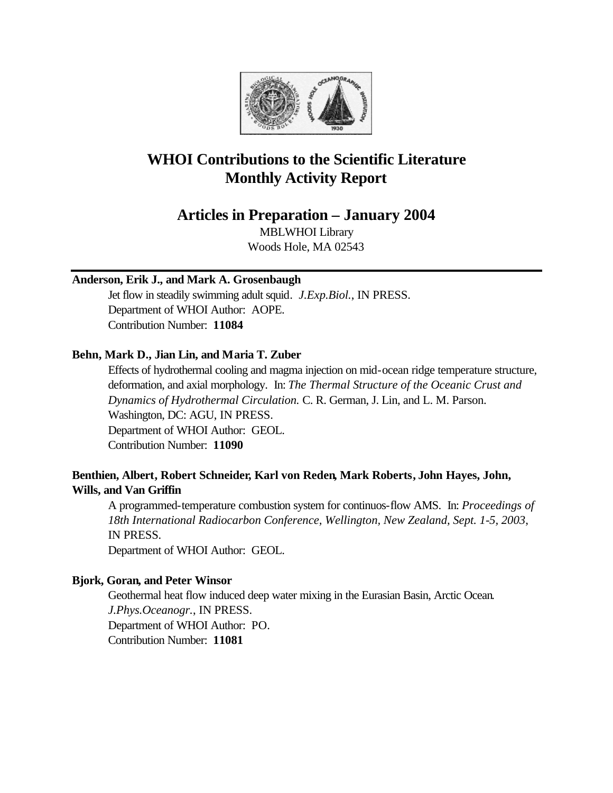

# **WHOI Contributions to the Scientific Literature Monthly Activity Report**

## **Articles in Preparation – January 2004**

MBLWHOI Library Woods Hole, MA 02543

### **Anderson, Erik J., and Mark A. Grosenbaugh**

Jet flow in steadily swimming adult squid. *J.Exp.Biol.*, IN PRESS. Department of WHOI Author: AOPE. Contribution Number: **11084**

### **Behn, Mark D., Jian Lin, and Maria T. Zuber**

Effects of hydrothermal cooling and magma injection on mid-ocean ridge temperature structure, deformation, and axial morphology. In: *The Thermal Structure of the Oceanic Crust and Dynamics of Hydrothermal Circulation.* C. R. German, J. Lin, and L. M. Parson. Washington, DC: AGU, IN PRESS. Department of WHOI Author: GEOL. Contribution Number: **11090**

### **Benthien, Albert, Robert Schneider, Karl von Reden, Mark Roberts, John Hayes, John, Wills, and Van Griffin**

A programmed-temperature combustion system for continuos-flow AMS. In: *Proceedings of 18th International Radiocarbon Conference, Wellington, New Zealand, Sept. 1-5, 2003*, IN PRESS. Department of WHOI Author: GEOL.

### **Bjork, Goran, and Peter Winsor**

Geothermal heat flow induced deep water mixing in the Eurasian Basin, Arctic Ocean. *J.Phys.Oceanogr.*, IN PRESS. Department of WHOI Author: PO. Contribution Number: **11081**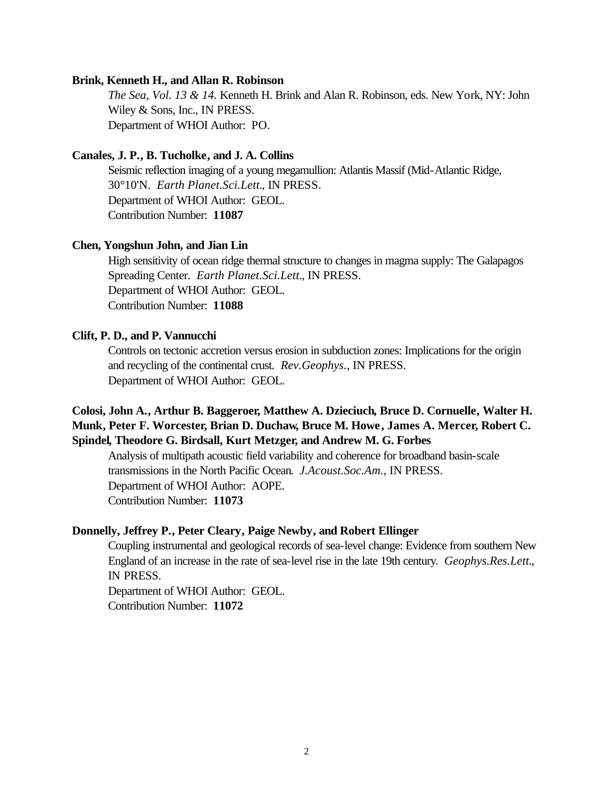#### **Brink, Kenneth H., and Allan R. Robinson**

*The Sea, Vol. 13 & 14.* Kenneth H. Brink and Alan R. Robinson, eds. New York, NY: John Wiley & Sons, Inc., IN PRESS. Department of WHOI Author: PO.

#### **Canales, J. P., B. Tucholke, and J. A. Collins**

Seismic reflection imaging of a young megamullion: Atlantis Massif (Mid-Atlantic Ridge, 30°10'N. *Earth Planet.Sci.Lett.*, IN PRESS. Department of WHOI Author: GEOL. Contribution Number: **11087**

#### **Chen, Yongshun John, and Jian Lin**

High sensitivity of ocean ridge thermal structure to changes in magma supply: The Galapagos Spreading Center. *Earth Planet.Sci.Lett.*, IN PRESS. Department of WHOI Author: GEOL. Contribution Number: **11088**

#### **Clift, P. D., and P. Vannucchi**

Controls on tectonic accretion versus erosion in subduction zones: Implications for the origin and recycling of the continental crust. *Rev.Geophys.*, IN PRESS. Department of WHOI Author: GEOL.

### **Colosi, John A., Arthur B. Baggeroer, Matthew A. Dzieciuch, Bruce D. Cornuelle, Walter H. Munk, Peter F. Worcester, Brian D. Duchaw, Bruce M. Howe, James A. Mercer, Robert C. Spindel, Theodore G. Birdsall, Kurt Metzger, and Andrew M. G. Forbes**

Analysis of multipath acoustic field variability and coherence for broadband basin-scale transmissions in the North Pacific Ocean. *J.Acoust.Soc.Am.*, IN PRESS. Department of WHOI Author: AOPE. Contribution Number: **11073**

#### **Donnelly, Jeffrey P., Peter Cleary, Paige Newby, and Robert Ellinger**

Coupling instrumental and geological records of sea-level change: Evidence from southern New England of an increase in the rate of sea-level rise in the late 19th century. *Geophys.Res.Lett.*, IN PRESS.

Department of WHOI Author: GEOL. Contribution Number: **11072**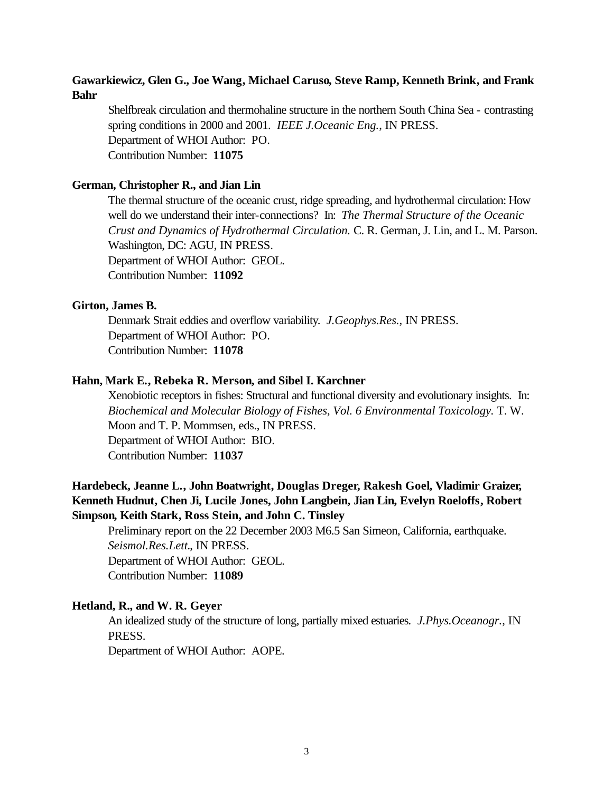### **Gawarkiewicz, Glen G., Joe Wang, Michael Caruso, Steve Ramp, Kenneth Brink, and Frank Bahr**

Shelfbreak circulation and thermohaline structure in the northern South China Sea - contrasting spring conditions in 2000 and 2001. *IEEE J.Oceanic Eng.*, IN PRESS. Department of WHOI Author: PO. Contribution Number: **11075**

#### **German, Christopher R., and Jian Lin**

The thermal structure of the oceanic crust, ridge spreading, and hydrothermal circulation: How well do we understand their inter-connections? In: *The Thermal Structure of the Oceanic Crust and Dynamics of Hydrothermal Circulation.* C. R. German, J. Lin, and L. M. Parson. Washington, DC: AGU, IN PRESS. Department of WHOI Author: GEOL. Contribution Number: **11092**

#### **Girton, James B.**

Denmark Strait eddies and overflow variability. *J.Geophys.Res.*, IN PRESS. Department of WHOI Author: PO. Contribution Number: **11078**

#### **Hahn, Mark E., Rebeka R. Merson, and Sibel I. Karchner**

Xenobiotic receptors in fishes: Structural and functional diversity and evolutionary insights. In: *Biochemical and Molecular Biology of Fishes, Vol. 6 Environmental Toxicology.* T. W. Moon and T. P. Mommsen, eds., IN PRESS. Department of WHOI Author: BIO. Contribution Number: **11037**

### **Hardebeck, Jeanne L., John Boatwright, Douglas Dreger, Rakesh Goel, Vladimir Graizer, Kenneth Hudnut, Chen Ji, Lucile Jones, John Langbein, Jian Lin, Evelyn Roeloffs, Robert Simpson, Keith Stark, Ross Stein, and John C. Tinsley**

Preliminary report on the 22 December 2003 M6.5 San Simeon, California, earthquake. *Seismol.Res.Lett.*, IN PRESS. Department of WHOI Author: GEOL. Contribution Number: **11089**

#### **Hetland, R., and W. R. Geyer**

An idealized study of the structure of long, partially mixed estuaries. *J.Phys.Oceanogr.*, IN PRESS.

Department of WHOI Author: AOPE.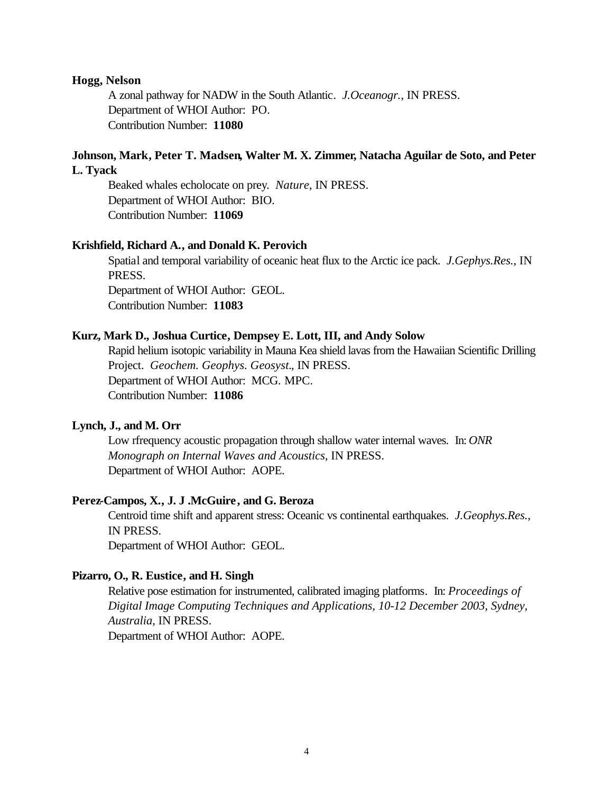#### **Hogg, Nelson**

A zonal pathway for NADW in the South Atlantic. *J.Oceanogr.*, IN PRESS. Department of WHOI Author: PO. Contribution Number: **11080**

### **Johnson, Mark, Peter T. Madsen, Walter M. X. Zimmer, Natacha Aguilar de Soto, and Peter L. Tyack**

Beaked whales echolocate on prey. *Nature*, IN PRESS. Department of WHOI Author: BIO. Contribution Number: **11069**

#### **Krishfield, Richard A., and Donald K. Perovich**

Spatial and temporal variability of oceanic heat flux to the Arctic ice pack. *J.Gephys.Res.*, IN PRESS. Department of WHOI Author: GEOL. Contribution Number: **11083**

#### **Kurz, Mark D., Joshua Curtice, Dempsey E. Lott, III, and Andy Solow**

Rapid helium isotopic variability in Mauna Kea shield lavas from the Hawaiian Scientific Drilling Project. *Geochem. Geophys. Geosyst.*, IN PRESS. Department of WHOI Author: MCG. MPC. Contribution Number: **11086**

#### **Lynch, J., and M. Orr**

Low rfrequency acoustic propagation through shallow water internal waves. In: *ONR Monograph on Internal Waves and Acoustics*, IN PRESS. Department of WHOI Author: AOPE.

#### **Perez-Campos, X., J. J .McGuire, and G. Beroza**

Centroid time shift and apparent stress: Oceanic vs continental earthquakes. *J.Geophys.Res.*, IN PRESS. Department of WHOI Author: GEOL.

#### **Pizarro, O., R. Eustice, and H. Singh**

Relative pose estimation for instrumented, calibrated imaging platforms. In: *Proceedings of Digital Image Computing Techniques and Applications, 10-12 December 2003, Sydney, Australia*, IN PRESS. Department of WHOI Author: AOPE.